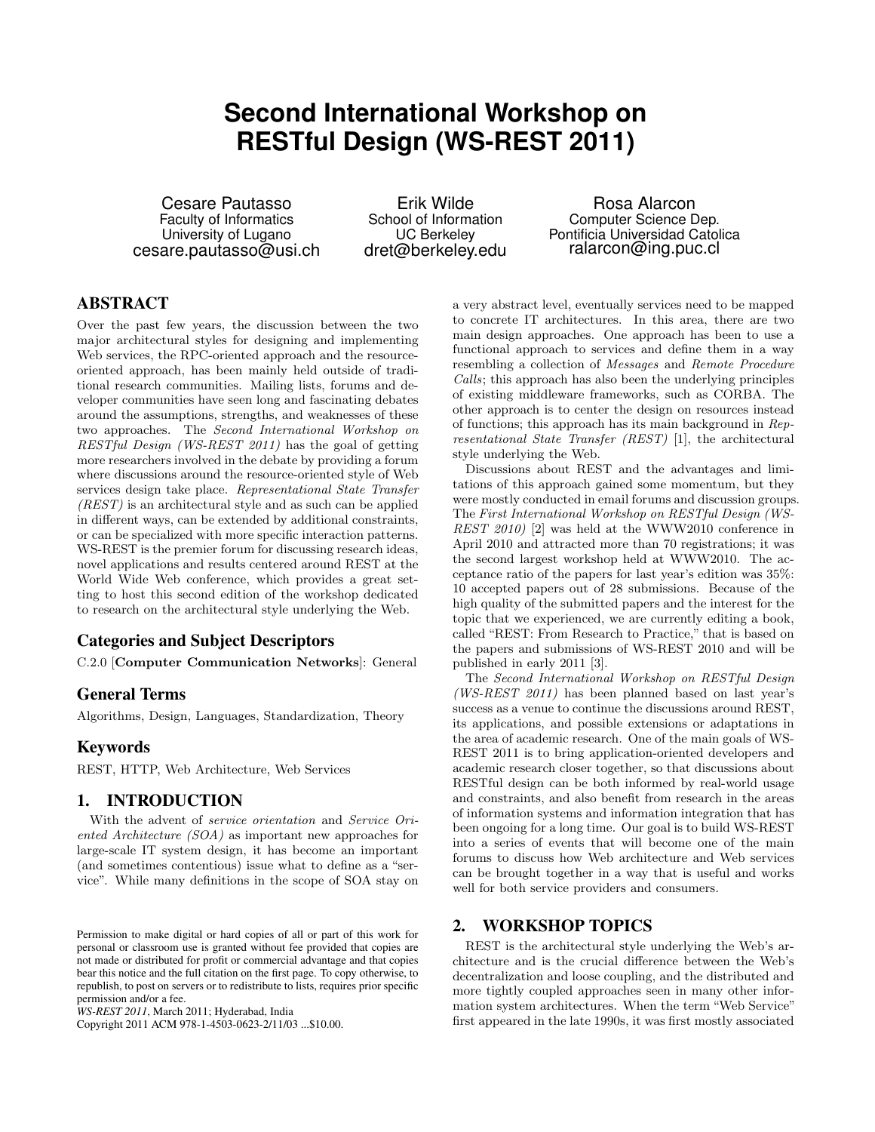# **Second International Workshop on RESTful Design (WS-REST 2011)**

Cesare Pautasso Faculty of Informatics University of Lugano cesare.pautasso@usi.ch

Erik Wilde School of Information UC Berkeley dret@berkeley.edu

Rosa Alarcon Computer Science Dep. Pontificia Universidad Catolica ralarcon@ing.puc.cl

# ABSTRACT

Over the past few years, the discussion between the two major architectural styles for designing and implementing Web services, the RPC-oriented approach and the resourceoriented approach, has been mainly held outside of traditional research communities. Mailing lists, forums and developer communities have seen long and fascinating debates around the assumptions, strengths, and weaknesses of these two approaches. The Second International Workshop on RESTful Design (WS-REST 2011) has the goal of getting more researchers involved in the debate by providing a forum where discussions around the resource-oriented style of Web services design take place. Representational State Transfer (REST) is an architectural style and as such can be applied in different ways, can be extended by additional constraints, or can be specialized with more specific interaction patterns. WS-REST is the premier forum for discussing research ideas, novel applications and results centered around REST at the World Wide Web conference, which provides a great setting to host this second edition of the workshop dedicated to research on the architectural style underlying the Web.

# Categories and Subject Descriptors

C.2.0 [Computer Communication Networks]: General

# General Terms

Algorithms, Design, Languages, Standardization, Theory

# Keywords

REST, HTTP, Web Architecture, Web Services

# 1. INTRODUCTION

With the advent of service orientation and Service Oriented Architecture (SOA) as important new approaches for large-scale IT system design, it has become an important (and sometimes contentious) issue what to define as a "service". While many definitions in the scope of SOA stay on

Copyright 2011 ACM 978-1-4503-0623-2/11/03 ...\$10.00.

a very abstract level, eventually services need to be mapped to concrete IT architectures. In this area, there are two main design approaches. One approach has been to use a functional approach to services and define them in a way resembling a collection of Messages and Remote Procedure Calls; this approach has also been the underlying principles of existing middleware frameworks, such as CORBA. The other approach is to center the design on resources instead of functions; this approach has its main background in Representational State Transfer (REST) [1], the architectural style underlying the Web.

Discussions about REST and the advantages and limitations of this approach gained some momentum, but they were mostly conducted in email forums and discussion groups. The First International Workshop on RESTful Design (WS-REST 2010) [2] was held at the WWW2010 conference in April 2010 and attracted more than 70 registrations; it was the second largest workshop held at WWW2010. The acceptance ratio of the papers for last year's edition was 35%: 10 accepted papers out of 28 submissions. Because of the high quality of the submitted papers and the interest for the topic that we experienced, we are currently editing a book, called "REST: From Research to Practice," that is based on the papers and submissions of WS-REST 2010 and will be published in early 2011 [3].

The Second International Workshop on RESTful Design  $(WS-REST 2011)$  has been planned based on last year's success as a venue to continue the discussions around REST, its applications, and possible extensions or adaptations in the area of academic research. One of the main goals of WS-REST 2011 is to bring application-oriented developers and academic research closer together, so that discussions about RESTful design can be both informed by real-world usage and constraints, and also benefit from research in the areas of information systems and information integration that has been ongoing for a long time. Our goal is to build WS-REST into a series of events that will become one of the main forums to discuss how Web architecture and Web services can be brought together in a way that is useful and works well for both service providers and consumers.

#### 2. WORKSHOP TOPICS

REST is the architectural style underlying the Web's architecture and is the crucial difference between the Web's decentralization and loose coupling, and the distributed and more tightly coupled approaches seen in many other information system architectures. When the term "Web Service" first appeared in the late 1990s, it was first mostly associated

Permission to make digital or hard copies of all or part of this work for personal or classroom use is granted without fee provided that copies are not made or distributed for profit or commercial advantage and that copies bear this notice and the full citation on the first page. To copy otherwise, to republish, to post on servers or to redistribute to lists, requires prior specific permission and/or a fee.

*WS-REST 2011*, March 2011; Hyderabad, India